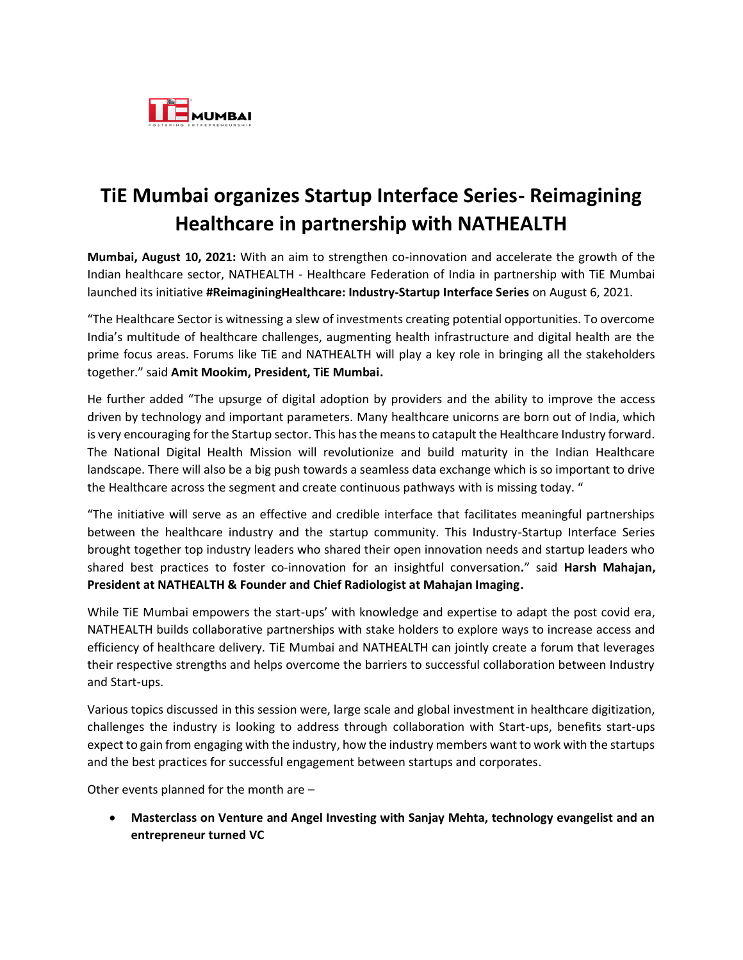

## **TiE Mumbai organizes Startup Interface Series- Reimagining Healthcare in partnership with NATHEALTH**

**Mumbai, August 10, 2021:** With an aim to strengthen co-innovation and accelerate the growth of the Indian healthcare sector, NATHEALTH - Healthcare Federation of India in partnership with TiE Mumbai launched its initiative **#ReimaginingHealthcare: Industry-Startup Interface Series** on August 6, 2021.

"The Healthcare Sector is witnessing a slew of investments creating potential opportunities. To overcome India's multitude of healthcare challenges, augmenting health infrastructure and digital health are the prime focus areas. Forums like TiE and NATHEALTH will play a key role in bringing all the stakeholders together." said **Amit Mookim, President, TiE Mumbai.**

He further added "The upsurge of digital adoption by providers and the ability to improve the access driven by technology and important parameters. Many healthcare unicorns are born out of India, which is very encouraging for the Startup sector. This has the means to catapult the Healthcare Industry forward. The National Digital Health Mission will revolutionize and build maturity in the Indian Healthcare landscape. There will also be a big push towards a seamless data exchange which is so important to drive the Healthcare across the segment and create continuous pathways with is missing today. "

"The initiative will serve as an effective and credible interface that facilitates meaningful partnerships between the healthcare industry and the startup community. This Industry-Startup Interface Series brought together top industry leaders who shared their open innovation needs and startup leaders who shared best practices to foster co-innovation for an insightful conversation**.**" said **Harsh Mahajan, President at NATHEALTH & Founder and Chief Radiologist at Mahajan Imaging.**

While TiE Mumbai empowers the start-ups' with knowledge and expertise to adapt the post covid era, NATHEALTH builds collaborative partnerships with stake holders to explore ways to increase access and efficiency of healthcare delivery. TiE Mumbai and NATHEALTH can jointly create a forum that leverages their respective strengths and helps overcome the barriers to successful collaboration between Industry and Start-ups.

Various topics discussed in this session were, large scale and global investment in healthcare digitization, challenges the industry is looking to address through collaboration with Start-ups, benefits start-ups expect to gain from engaging with the industry, how the industry members want to work with the startups and the best practices for successful engagement between startups and corporates.

Other events planned for the month are –

• **Masterclass on Venture and Angel Investing with Sanjay Mehta, technology evangelist and an entrepreneur turned VC**